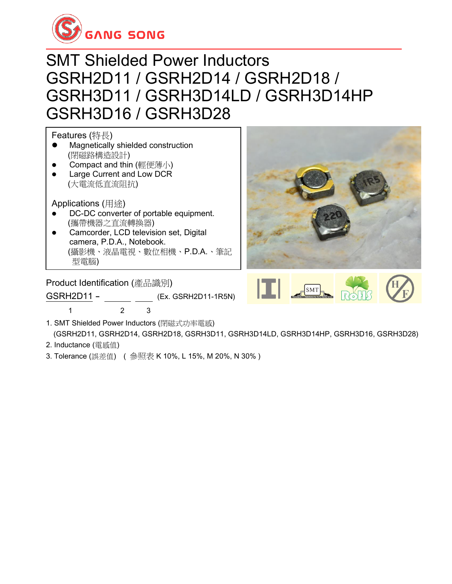

### SMT Shielded Power Inductors GSRH2D11 / GSRH2D14 / GSRH2D18 / GSRH3D11 / GSRH3D14LD / GSRH3D14HP GSRH3D16 / GSRH3D28

Features (特長)

- ⚫ Magnetically shielded construction (閉磁路構造設計)
- Compact and thin (輕便薄小)
- Large Current and Low DCR (大電流低直流阻抗)

Applications (用途)

- DC-DC converter of portable equipment. (攜帶機器之直流轉換器)
- Camcorder, LCD television set, Digital camera, P.D.A., Notebook. (攝影機、液晶電視、數位相機、P.D.A.、筆記 型電腦) <u>s small size communication equipment. Size communication equipment</u>

Product Identification (產品識別)

1 2 3

GSRH2D11 - (Ex. GSRH2D11-1R5N)





- 1. SMT Shielded Power Inductors (閉磁式功率電感) (GSRH2D11, GSRH2D14, GSRH2D18, GSRH3D11, GSRH3D14LD, GSRH3D14HP, GSRH3D16, GSRH3D28)
- 2. Inductance (電感值)
- 3. Tolerance (誤差值) ( 參照表 K 10%, L 15%, M 20%, N 30% )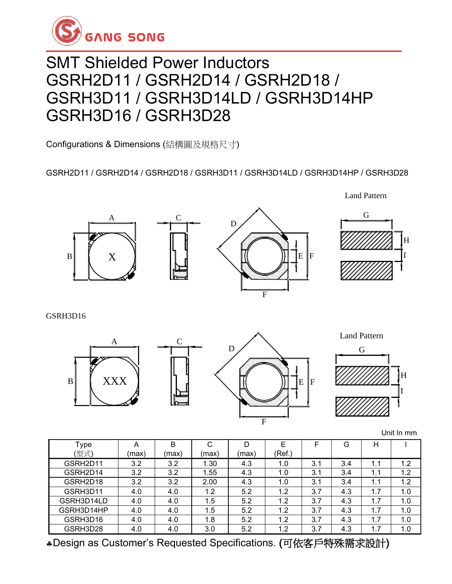

## SMT Shielded Power Inductors GSRH2D11 / GSRH2D14 / GSRH2D18 / GSRH3D11 / GSRH3D14LD / GSRH3D14HP GSRH3D16 / GSRH3D28

Configurations & Dimensions (結構圖及規格尺寸)

#### GSRH2D11 / GSRH2D14 / GSRH2D18 / GSRH3D11 / GSRH3D14LD / GSRH3D14HP / GSRH3D28



Land Pattern



GSRH3D16



Unit In mm

| Type       | Α     | B     | С     | D     |        |     | G   | Н   |     |
|------------|-------|-------|-------|-------|--------|-----|-----|-----|-----|
| (型式)       | (max) | (max) | (max) | (max) | (Ref.) |     |     |     |     |
| GSRH2D11   | 3.2   | 3.2   | 1.30  | 4.3   | 1.0    | 3.1 | 3.4 | 1.1 | 1.2 |
| GSRH2D14   | 3.2   | 3.2   | 1.55  | 4.3   | 1.0    | 3.1 | 3.4 | 1.1 | 1.2 |
| GSRH2D18   | 3.2   | 3.2   | 2.00  | 4.3   | 1.0    | 3.1 | 3.4 | 1.1 | 1.2 |
| GSRH3D11   | 4.0   | 4.0   | 1.2   | 5.2   | 1.2    | 3.7 | 4.3 | 1.7 | 1.0 |
| GSRH3D14LD | 4.0   | 4.0   | 1.5   | 5.2   | 1.2    | 3.7 | 4.3 | 1.7 | 1.0 |
| GSRH3D14HP | 4.0   | 4.0   | 1.5   | 5.2   | 1.2    | 3.7 | 4.3 | 1.7 | 1.0 |
| GSRH3D16   | 4.0   | 4.0   | 1.8   | 5.2   | 1.2    | 3.7 | 4.3 | 1.7 | 1.0 |
| GSRH3D28   | 4.0   | 4.0   | 3.0   | 5.2   | 1.2    | 3.7 | 4.3 | 1.7 | 1.0 |

Design as Customer's Requested Specifications. (可依客戶特殊需求設計)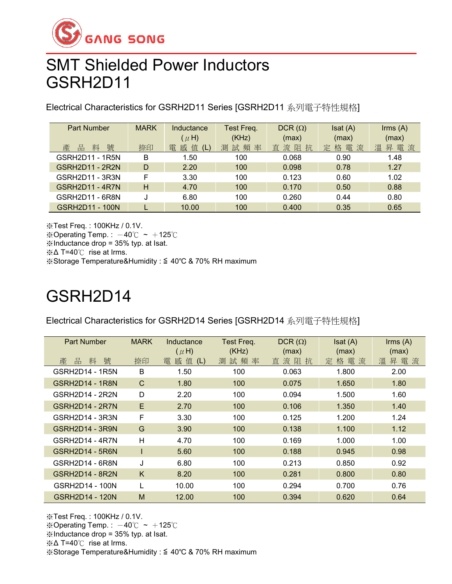

## SMT Shielded Power Inductors GSRH2D11

Electrical Characteristics for GSRH2D11 Series [GSRH2D11 系列電子特性規格]

| <b>Part Number</b>     | <b>MARK</b> | Inductance         | Test Freq. | $DCR(\Omega)$ | Isat(A)      | Irms(A)  |
|------------------------|-------------|--------------------|------------|---------------|--------------|----------|
|                        |             | $(\mu H)$          | (KHz)      | (max)         | (max)        | (max)    |
| 號<br>料<br>品<br>產       | 捺印          | 值<br>感<br>雷<br>(L) | 測試頻率       | 流阻抗<br>直      | 電流<br>格<br>定 | 昇電流<br>溫 |
| GSRH2D11 - 1R5N        | B           | 1.50               | 100        | 0.068         | 0.90         | 1.48     |
| <b>GSRH2D11 - 2R2N</b> | D           | 2.20               | 100        | 0.098         | 0.78         | 1.27     |
| GSRH2D11 - 3R3N        | F           | 3.30               | 100        | 0.123         | 0.60         | 1.02     |
| <b>GSRH2D11 - 4R7N</b> | н           | 4.70               | 100        | 0.170         | 0.50         | 0.88     |
| GSRH2D11 - 6R8N        |             | 6.80               | 100        | 0.260         | 0.44         | 0.80     |
| GSRH2D11 - 100N        |             | 10.00              | 100        | 0.400         | 0.35         | 0.65     |

※Test Freq. : 100KHz / 0.1V.

※Operating Temp.:  $-40^{\circ}$ C ~  $+125^{\circ}$ C

※Inductance drop = 35% typ. at Isat.

※Δ T=40℃ rise at Irms.

※Storage Temperature&Humidity : ≦ 40℃ & 70% RH maximum

## GSRH2D14

Electrical Characteristics for GSRH2D14 Series [GSRH2D14 系列電子特性規格]

| <b>Part Number</b> | <b>MARK</b> | Inductance     | Test Freq. | $DCR(\Omega)$ | Isat(A)  | $\mathsf{lrms}(\mathsf{A})$ |
|--------------------|-------------|----------------|------------|---------------|----------|-----------------------------|
|                    |             | $(\mu H)$      | (KHz)      | (max)         | (max)    | (max)                       |
| 號<br>料<br>產<br>品   | 捺印          | 感值<br>雷<br>(L) | 測試頻率       | 直流阻抗          | 定格電<br>流 | 溫<br>昇電流                    |
| GSRH2D14 - 1R5N    | В           | 1.50           | 100        | 0.063         | 1.800    | 2.00                        |
| GSRH2D14 - 1R8N    | C           | 1.80           | 100        | 0.075         | 1.650    | 1.80                        |
| GSRH2D14 - 2R2N    | D           | 2.20           | 100        | 0.094         | 1.500    | 1.60                        |
| GSRH2D14 - 2R7N    | E           | 2.70           | 100        | 0.106         | 1.350    | 1.40                        |
| GSRH2D14 - 3R3N    | F           | 3.30           | 100        | 0.125         | 1.200    | 1.24                        |
| GSRH2D14 - 3R9N    | G           | 3.90           | 100        | 0.138         | 1.100    | 1.12                        |
| GSRH2D14 - 4R7N    | Н           | 4.70           | 100        | 0.169         | 1.000    | 1.00                        |
| GSRH2D14 - 5R6N    | L           | 5.60           | 100        | 0.188         | 0.945    | 0.98                        |
| GSRH2D14 - 6R8N    | J           | 6.80           | 100        | 0.213         | 0.850    | 0.92                        |
| GSRH2D14 - 8R2N    | K           | 8.20           | 100        | 0.281         | 0.800    | 0.80                        |
| GSRH2D14 - 100N    |             | 10.00          | 100        | 0.294         | 0.700    | 0.76                        |
| GSRH2D14 - 120N    | M           | 12.00          | 100        | 0.394         | 0.620    | 0.64                        |

※Test Freq. : 100KHz / 0.1V. ※Operating Temp.:  $-40^{\circ}$ C ~  $+125^{\circ}$ C

※Inductance drop = 35% typ. at Isat.

※Δ T=40℃ rise at Irms.

※Storage Temperature&Humidity : ≦ 40℃ & 70% RH maximum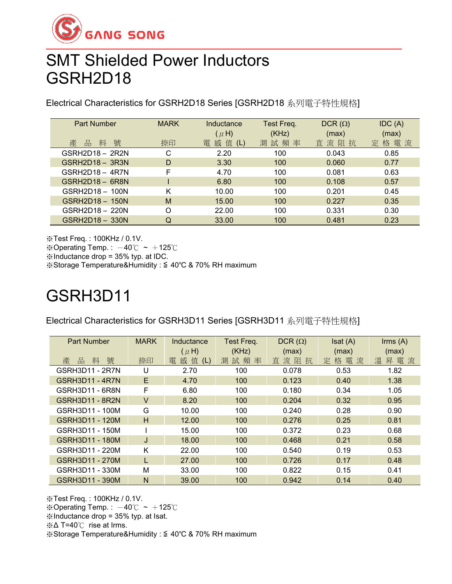

## SMT Shielded Power Inductors GSRH2D18

Electrical Characteristics for GSRH2D18 Series [GSRH2D18 系列電子特性規格]

| <b>Part Number</b> | <b>MARK</b> | Inductance         | Test Freq. | DCR $(\Omega)$ | IDC(A)   |
|--------------------|-------------|--------------------|------------|----------------|----------|
|                    |             | $(\mu H)$          | (KHz)      | (max)          | (max)    |
| 號<br>料<br>產<br>品   | 捺印          | 感<br>值<br>電<br>(L) | 測試頻率       | 直流阻<br>抗       | 格電流<br>定 |
| GSRH2D18 - 2R2N    | С           | 2.20               | 100        | 0.043          | 0.85     |
| $GSRH2D18 - 3R3N$  | D           | 3.30               | 100        | 0.060          | 0.77     |
| $GSRH2D18 - 4R7N$  | F           | 4.70               | 100        | 0.081          | 0.63     |
| GSRH2D18 - 6R8N    |             | 6.80               | 100        | 0.108          | 0.57     |
| GSRH2D18 - 100N    | K           | 10.00              | 100        | 0.201          | 0.45     |
| GSRH2D18 - 150N    | M           | 15.00              | 100        | 0.227          | 0.35     |
| GSRH2D18 - 220N    | O           | 22.00              | 100        | 0.331          | 0.30     |
| GSRH2D18 - 330N    | Q           | 33.00              | 100        | 0.481          | 0.23     |

※Test Freq. : 100KHz / 0.1V.

※Operating Temp.:  $-40^{\circ}$ C ~  $+125^{\circ}$ C

※Inductance drop = 35% typ. at IDC.

※Storage Temperature&Humidity : ≦ 40℃ & 70% RH maximum

## GSRH3D11

Electrical Characteristics for GSRH3D11 Series [GSRH3D11 系列電子特性規格]

| <b>Part Number</b>     | <b>MARK</b> | Inductance         | Test Freq. | DCR $(\Omega)$ | Isat(A)      | $\mathsf{lrms}(\mathsf{A})$ |
|------------------------|-------------|--------------------|------------|----------------|--------------|-----------------------------|
|                        |             | $(\mu H)$          | (KHz)      | (max)          | (max)        | (max)                       |
| 號<br>料<br>產<br>品       | 捺印          | 感<br>值<br>竃<br>(L) | 測<br>試頻率   | 直流阻<br>抗       | 格電<br>流<br>定 | 溫<br>昇電流                    |
| GSRH3D11 - 2R7N        | U           | 2.70               | 100        | 0.078          | 0.53         | 1.82                        |
| <b>GSRH3D11 - 4R7N</b> | E.          | 4.70               | 100        | 0.123          | 0.40         | 1.38                        |
| GSRH3D11 - 6R8N        | F           | 6.80               | 100        | 0.180          | 0.34         | 1.05                        |
| <b>GSRH3D11 - 8R2N</b> | $\vee$      | 8.20               | 100        | 0.204          | 0.32         | 0.95                        |
| GSRH3D11 - 100M        | G           | 10.00              | 100        | 0.240          | 0.28         | 0.90                        |
| GSRH3D11 - 120M        | H           | 12.00              | 100        | 0.276          | 0.25         | 0.81                        |
| GSRH3D11 - 150M        |             | 15.00              | 100        | 0.372          | 0.23         | 0.68                        |
| GSRH3D11 - 180M        | J           | 18.00              | 100        | 0.468          | 0.21         | 0.58                        |
| GSRH3D11 - 220M        | K           | 22.00              | 100        | 0.540          | 0.19         | 0.53                        |
| GSRH3D11 - 270M        |             | 27.00              | 100        | 0.726          | 0.17         | 0.48                        |
| GSRH3D11 - 330M        | M           | 33.00              | 100        | 0.822          | 0.15         | 0.41                        |
| GSRH3D11 - 390M        | N           | 39.00              | 100        | 0.942          | 0.14         | 0.40                        |

※Test Freq. : 100KHz / 0.1V.

※Operating Temp.:  $-40^{\circ}$ C ~  $+125^{\circ}$ C

※Inductance drop = 35% typ. at Isat.

※Δ T=40℃ rise at Irms.

※Storage Temperature&Humidity : ≦ 40℃ & 70% RH maximum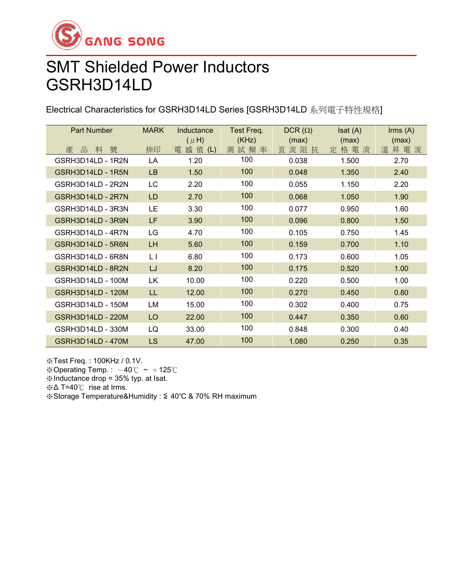

## SMT Shielded Power Inductors GSRH3D14LD

Electrical Characteristics for GSRH3D14LD Series [GSRH3D14LD 系列電子特性規格]

| <b>Part Number</b>       | <b>MARK</b> | Inductance | Test Freq. | $DCR(\Omega)$ | Isat(A) | $\mathsf{lrms}\ (\mathsf{A})$ |
|--------------------------|-------------|------------|------------|---------------|---------|-------------------------------|
|                          |             | $(\mu H)$  | (KHz)      | (max)         | (max)   | (max)                         |
| 號<br>品<br>料<br>產         | 捺印          | 電 感 值 (L)  | 測試頻率       | 直流阻抗          | 定格電流    | 昇電流<br>溫                      |
| GSRH3D14LD - 1R2N        | LA          | 1.20       | 100        | 0.038         | 1.500   | 2.70                          |
| GSRH3D14LD - 1R5N        | LB          | 1.50       | 100        | 0.048         | 1.350   | 2.40                          |
| GSRH3D14LD - 2R2N        | LC          | 2.20       | 100        | 0.055         | 1.150   | 2.20                          |
| GSRH3D14LD - 2R7N        | <b>LD</b>   | 2.70       | 100        | 0.068         | 1.050   | 1.90                          |
| GSRH3D14LD - 3R3N        | LE          | 3.30       | 100        | 0.077         | 0.950   | 1.60                          |
| GSRH3D14LD - 3R9N        | LF.         | 3.90       | 100        | 0.096         | 0.800   | 1.50                          |
| GSRH3D14LD - 4R7N        | LG          | 4.70       | 100        | 0.105         | 0.750   | 1.45                          |
| GSRH3D14LD - 5R6N        | <b>LH</b>   | 5.60       | 100        | 0.159         | 0.700   | 1.10                          |
| GSRH3D14LD - 6R8N        | L I         | 6.80       | 100        | 0.173         | 0.600   | 1.05                          |
| GSRH3D14LD - 8R2N        | LJ          | 8.20       | 100        | 0.175         | 0.520   | 1.00                          |
| GSRH3D14LD - 100M        | LK          | 10.00      | 100        | 0.220         | 0.500   | 1.00                          |
| <b>GSRH3D14LD - 120M</b> | LL          | 12.00      | 100        | 0.270         | 0.450   | 0.80                          |
| GSRH3D14LD - 150M        | LM          | 15.00      | 100        | 0.302         | 0.400   | 0.75                          |
| <b>GSRH3D14LD - 220M</b> | LO          | 22.00      | 100        | 0.447         | 0.350   | 0.60                          |
| GSRH3D14LD - 330M        | LQ          | 33.00      | 100        | 0.848         | 0.300   | 0.40                          |
| GSRH3D14LD - 470M        | <b>LS</b>   | 47.00      | 100        | 1.080         | 0.250   | 0.35                          |

※Test Freq. : 100KHz / 0.1V. ※Operating Temp.:  $-40^{\circ}$ C ~  $+125^{\circ}$ C ※Inductance drop = 35% typ. at Isat. ※Δ T=40℃ rise at Irms. ※Storage Temperature&Humidity : ≦ 40℃ & 70% RH maximum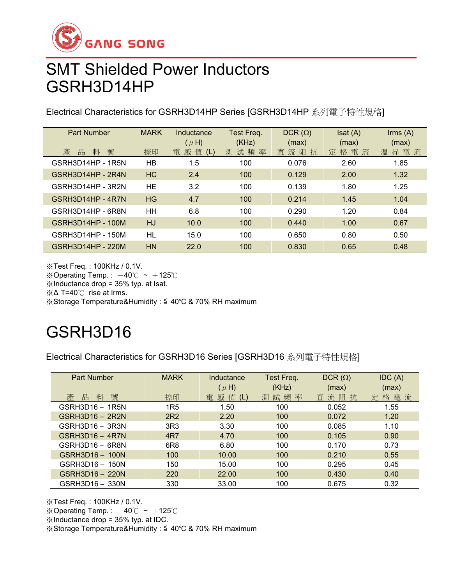

#### SMT Shielded Power Inductors GSRH3D14HP

Electrical Characteristics for GSRH3D14HP Series [GSRH3D14HP 系列電子特性規格]

| <b>Part Number</b> | <b>MARK</b> | Inductance<br>$(\mu H)$ | Test Freq.<br>(KHz) | $DCR(\Omega)$<br>(max) | Isat(A)<br>(max) | $\mathsf{lrms}(\mathsf{A})$<br>(max) |
|--------------------|-------------|-------------------------|---------------------|------------------------|------------------|--------------------------------------|
| 產<br>號<br>品<br>料   | 捺印          | 值<br>雷<br>感<br>(L)      | 測試頻率                | 直流阻抗                   | 定格電流             | 昇電流<br>溫                             |
| GSRH3D14HP - 1R5N  | HB          | 1.5                     | 100                 | 0.076                  | 2.60             | 1.85                                 |
| GSRH3D14HP - 2R4N  | HC.         | 2.4                     | 100                 | 0.129                  | 2.00             | 1.32                                 |
| GSRH3D14HP - 3R2N  | HE          | 3.2                     | 100                 | 0.139                  | 1.80             | 1.25                                 |
| GSRH3D14HP - 4R7N  | HG          | 4.7                     | 100                 | 0.214                  | 1.45             | 1.04                                 |
| GSRH3D14HP - 6R8N  | HН          | 6.8                     | 100                 | 0.290                  | 1.20             | 0.84                                 |
| GSRH3D14HP - 100M  | HJ          | 10.0                    | 100                 | 0.440                  | 1.00             | 0.67                                 |
| GSRH3D14HP - 150M  | HL          | 15.0                    | 100                 | 0.650                  | 0.80             | 0.50                                 |
| GSRH3D14HP - 220M  | HN          | 22.0                    | 100                 | 0.830                  | 0.65             | 0.48                                 |

※Test Freq. : 100KHz / 0.1V. ※Operating Temp.:  $-40^{\circ}$ C ~  $+125^{\circ}$ C ※Inductance drop = 35% typ. at Isat. ※Δ T=40℃ rise at Irms. ※Storage Temperature&Humidity : ≦ 40℃ & 70% RH maximum

# GSRH3D16

Electrical Characteristics for GSRH3D16 Series [GSRH3D16 系列電子特性規格]

| <b>Part Number</b>     | <b>MARK</b>     | Inductance<br>$(\mu H)$ | Test Freq.<br>(KHz) | $DCR(\Omega)$<br>(max) | IDC(A)<br>(max) |
|------------------------|-----------------|-------------------------|---------------------|------------------------|-----------------|
| 號<br>料<br>產<br>品       | 捺印              | 雷<br>感值<br>(L)          | 測試頻率                | 直流阻<br>抗               | 定格電流            |
| GSRH3D16 - 1R5N        | 1R <sub>5</sub> | 1.50                    | 100                 | 0.052                  | 1.55            |
| <b>GSRH3D16 - 2R2N</b> | 2R <sub>2</sub> | 2.20                    | 100                 | 0.072                  | 1.20            |
| GSRH3D16 - 3R3N        | 3R3             | 3.30                    | 100                 | 0.085                  | 1.10            |
| $GSRH3D16 - 4R7N$      | 4R7             | 4.70                    | 100                 | 0.105                  | 0.90            |
| GSRH3D16 - 6R8N        | 6R <sub>8</sub> | 6.80                    | 100                 | 0.170                  | 0.73            |
| GSRH3D16 - 100N        | 100             | 10.00                   | 100                 | 0.210                  | 0.55            |
| GSRH3D16 - 150N        | 150             | 15.00                   | 100                 | 0.295                  | 0.45            |
| GSRH3D16 - 220N        | 220             | 22.00                   | 100                 | 0.430                  | 0.40            |
| GSRH3D16 - 330N        | 330             | 33.00                   | 100                 | 0.675                  | 0.32            |

※Test Freq. : 100KHz / 0.1V.

※Operating Temp. :  $-40^{\circ}$ C ~  $+125^{\circ}$ C

※Inductance drop = 35% typ. at IDC.

※Storage Temperature&Humidity : ≦ 40℃ & 70% RH maximum